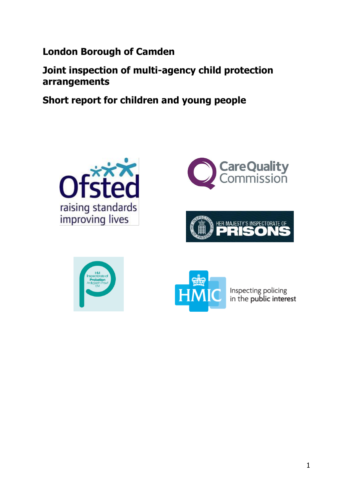**London Borough of Camden**

**Joint inspection of multi-agency child protection arrangements**

**Short report for children and young people**











Inspecting policing<br>in the **public interest**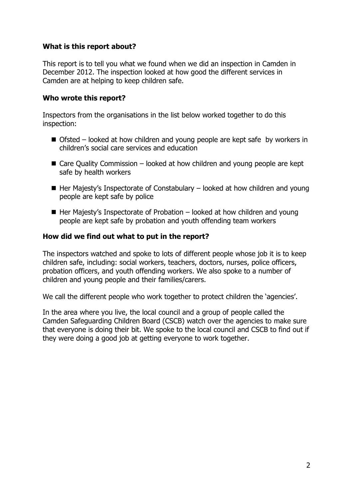#### **What is this report about?**

This report is to tell you what we found when we did an inspection in Camden in December 2012. The inspection looked at how good the different services in Camden are at helping to keep children safe.

#### **Who wrote this report?**

Inspectors from the organisations in the list below worked together to do this inspection:

- Ofsted looked at how children and young people are kept safe by workers in children's social care services and education
- $\blacksquare$  Care Quality Commission looked at how children and young people are kept safe by health workers
- $\blacksquare$  Her Majesty's Inspectorate of Constabulary looked at how children and young people are kept safe by police
- $\blacksquare$  Her Majesty's Inspectorate of Probation looked at how children and young people are kept safe by probation and youth offending team workers

### **How did we find out what to put in the report?**

The inspectors watched and spoke to lots of different people whose job it is to keep children safe, including: social workers, teachers, doctors, nurses, police officers, probation officers, and youth offending workers. We also spoke to a number of children and young people and their families/carers.

We call the different people who work together to protect children the 'agencies'.

In the area where you live, the local council and a group of people called the Camden Safeguarding Children Board (CSCB) watch over the agencies to make sure that everyone is doing their bit. We spoke to the local council and CSCB to find out if they were doing a good job at getting everyone to work together.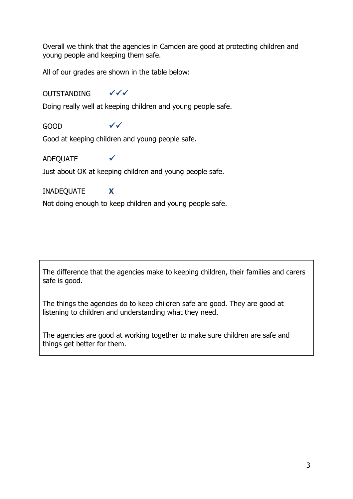Overall we think that the agencies in Camden are good at protecting children and young people and keeping them safe.

All of our grades are shown in the table below:

# OUTSTANDING  $\checkmark\checkmark$

Doing really well at keeping children and young people safe.

# GOOD

Good at keeping children and young people safe.

## ADEQUATE

Just about OK at keeping children and young people safe.

### INADEQUATE **X**

Not doing enough to keep children and young people safe.

The difference that the agencies make to keeping children, their families and carers safe is good.

The things the agencies do to keep children safe are good. They are good at listening to children and understanding what they need.

The agencies are good at working together to make sure children are safe and things get better for them.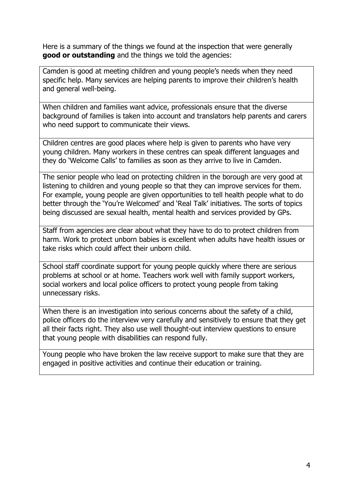Here is a summary of the things we found at the inspection that were generally **good or outstanding** and the things we told the agencies:

Camden is good at meeting children and young people's needs when they need specific help. Many services are helping parents to improve their children's health and general well-being.

When children and families want advice, professionals ensure that the diverse background of families is taken into account and translators help parents and carers who need support to communicate their views.

Children centres are good places where help is given to parents who have very young children. Many workers in these centres can speak different languages and they do 'Welcome Calls' to families as soon as they arrive to live in Camden.

The senior people who lead on protecting children in the borough are very good at listening to children and young people so that they can improve services for them. For example, young people are given opportunities to tell health people what to do better through the 'You're Welcomed' and 'Real Talk' initiatives. The sorts of topics being discussed are sexual health, mental health and services provided by GPs.

Staff from agencies are clear about what they have to do to protect children from harm. Work to protect unborn babies is excellent when adults have health issues or take risks which could affect their unborn child.

School staff coordinate support for young people quickly where there are serious problems at school or at home. Teachers work well with family support workers, social workers and local police officers to protect young people from taking unnecessary risks.

When there is an investigation into serious concerns about the safety of a child, police officers do the interview very carefully and sensitively to ensure that they get all their facts right. They also use well thought-out interview questions to ensure that young people with disabilities can respond fully.

Young people who have broken the law receive support to make sure that they are engaged in positive activities and continue their education or training.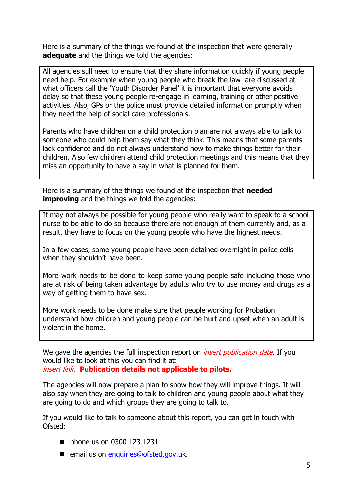Here is a summary of the things we found at the inspection that were generally **adequate** and the things we told the agencies:

All agencies still need to ensure that they share information quickly if young people need help. For example when young people who break the law are discussed at what officers call the 'Youth Disorder Panel' it is important that everyone avoids delay so that these young people re-engage in learning, training or other positive activities. Also, GPs or the police must provide detailed information promptly when they need the help of social care professionals.

Parents who have children on a child protection plan are not always able to talk to someone who could help them say what they think. This means that some parents lack confidence and do not always understand how to make things better for their children. Also few children attend child protection meetings and this means that they miss an opportunity to have a say in what is planned for them.

Here is a summary of the things we found at the inspection that **needed improving** and the things we told the agencies:

It may not always be possible for young people who really want to speak to a school nurse to be able to do so because there are not enough of them currently and, as a result, they have to focus on the young people who have the highest needs.

In a few cases, some young people have been detained overnight in police cells when they shouldn't have been.

More work needs to be done to keep some young people safe including those who are at risk of being taken advantage by adults who try to use money and drugs as a way of getting them to have sex.

More work needs to be done make sure that people working for Probation understand how children and young people can be hurt and upset when an adult is violent in the home.

We gave the agencies the full inspection report on *insert publication date*. If you would like to look at this you can find it at: insert link. **Publication details not applicable to pilots.**

The agencies will now prepare a plan to show how they will improve things. It will also say when they are going to talk to children and young people about what they are going to do and which groups they are going to talk to.

If you would like to talk to someone about this report, you can get in touch with Ofsted:

- **phone us on 0300 123 1231**
- email us on [enquiries@ofsted.gov.uk.](mailto:enquiries@ofsted.gov.uk)